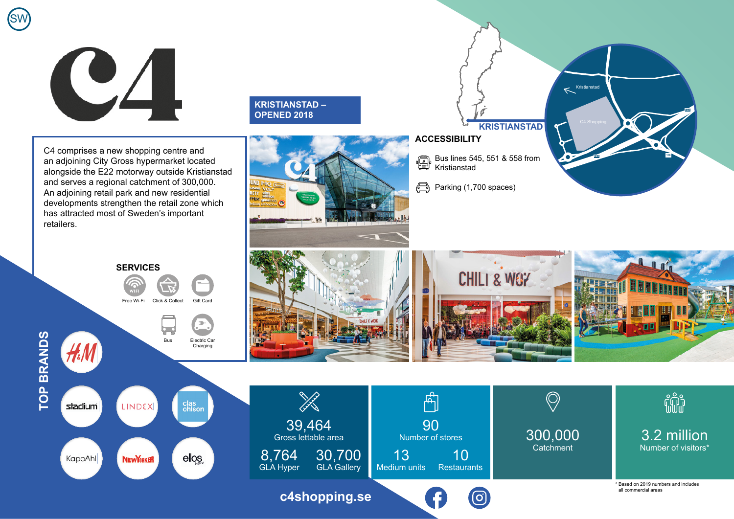



C4 comprises a new shopping centre and an adjoining City Gross hypermarket located alongside the E22 motorway outside Kristianstad and serves a regional catchment of 300,000. An adjoining retail park and new residential developments strengthen the retail zone which has attracted most of Sweden's important retailers.

**SERVICES**

Free Wi-Fi Click & Collect Gift Card

Bus Electric Car Charging

 $\Rightarrow$ 

## **KRISTIANSTAD – OPENED 2018**



**KRISTIANSTAD**

## **ACCESSIBILITY**

- Bus lines 545, 551 & 558 from Kristianstad
- Parking (1,700 spaces)



Kristianstad

**E22**

**E22**

**118**